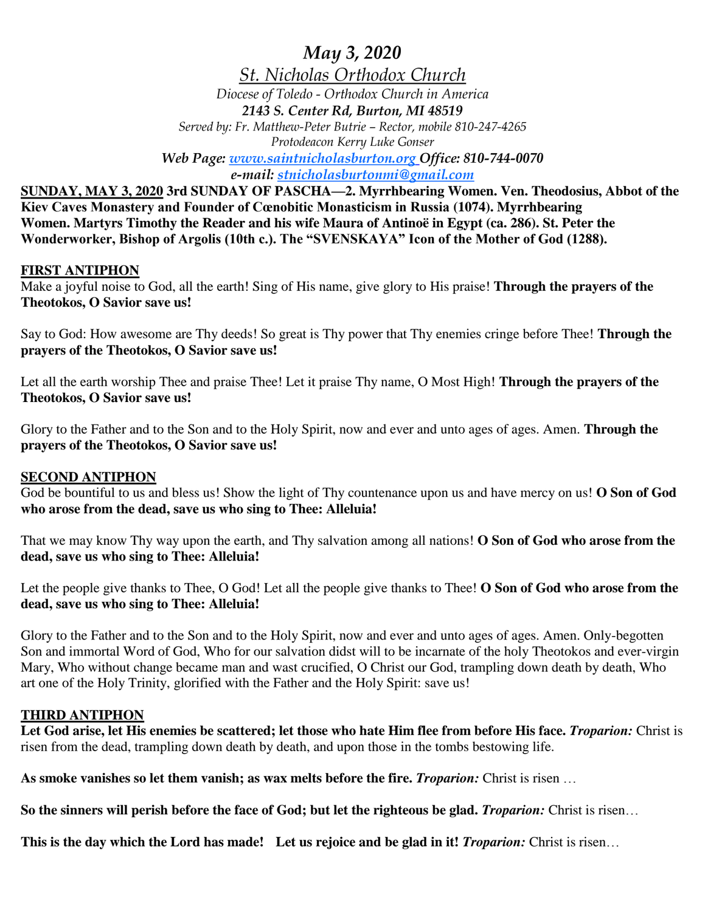*May 3, 2020*

*St. Nicholas Orthodox Church Diocese of Toledo - Orthodox Church in America 2143 S. Center Rd, Burton, MI 48519*

*Served by: Fr. Matthew-Peter Butrie – Rector, mobile 810-247-4265 Protodeacon Kerry Luke Gonser*

*Web Page: www.saintnicholasburton.org Office: 810-744-0070 e-mail: stnicholasburtonmi@gmail.com*

**SUNDAY, MAY 3, 2020 3rd SUNDAY OF PASCHA—2. Myrrhbearing Women. Ven. Theodosius, Abbot of the Kiev Caves Monastery and Founder of Cœnobitic Monasticism in Russia (1074). Myrrhbearing Women. Martyrs Timothy the Reader and his wife Maura of Antinoë in Egypt (ca. 286). St. Peter the Wonderworker, Bishop of Argolis (10th c.). The "SVENSKAYA" Icon of the Mother of God (1288).**

### **FIRST ANTIPHON**

Make a joyful noise to God, all the earth! Sing of His name, give glory to His praise! **Through the prayers of the Theotokos, O Savior save us!**

Say to God: How awesome are Thy deeds! So great is Thy power that Thy enemies cringe before Thee! **Through the prayers of the Theotokos, O Savior save us!**

Let all the earth worship Thee and praise Thee! Let it praise Thy name, O Most High! **Through the prayers of the Theotokos, O Savior save us!**

Glory to the Father and to the Son and to the Holy Spirit, now and ever and unto ages of ages. Amen. **Through the prayers of the Theotokos, O Savior save us!**

### **SECOND ANTIPHON**

God be bountiful to us and bless us! Show the light of Thy countenance upon us and have mercy on us! **O Son of God who arose from the dead, save us who sing to Thee: Alleluia!**

That we may know Thy way upon the earth, and Thy salvation among all nations! **O Son of God who arose from the dead, save us who sing to Thee: Alleluia!**

Let the people give thanks to Thee, O God! Let all the people give thanks to Thee! **O Son of God who arose from the dead, save us who sing to Thee: Alleluia!**

Glory to the Father and to the Son and to the Holy Spirit, now and ever and unto ages of ages. Amen. Only-begotten Son and immortal Word of God, Who for our salvation didst will to be incarnate of the holy Theotokos and ever-virgin Mary, Who without change became man and wast crucified, O Christ our God, trampling down death by death, Who art one of the Holy Trinity, glorified with the Father and the Holy Spirit: save us!

## **THIRD ANTIPHON**

**Let God arise, let His enemies be scattered; let those who hate Him flee from before His face.** *Troparion:* Christ is risen from the dead, trampling down death by death, and upon those in the tombs bestowing life.

**As smoke vanishes so let them vanish; as wax melts before the fire.** *Troparion:* Christ is risen …

**So the sinners will perish before the face of God; but let the righteous be glad.** *Troparion:* Christ is risen…

**This is the day which the Lord has made! Let us rejoice and be glad in it!** *Troparion:* Christ is risen…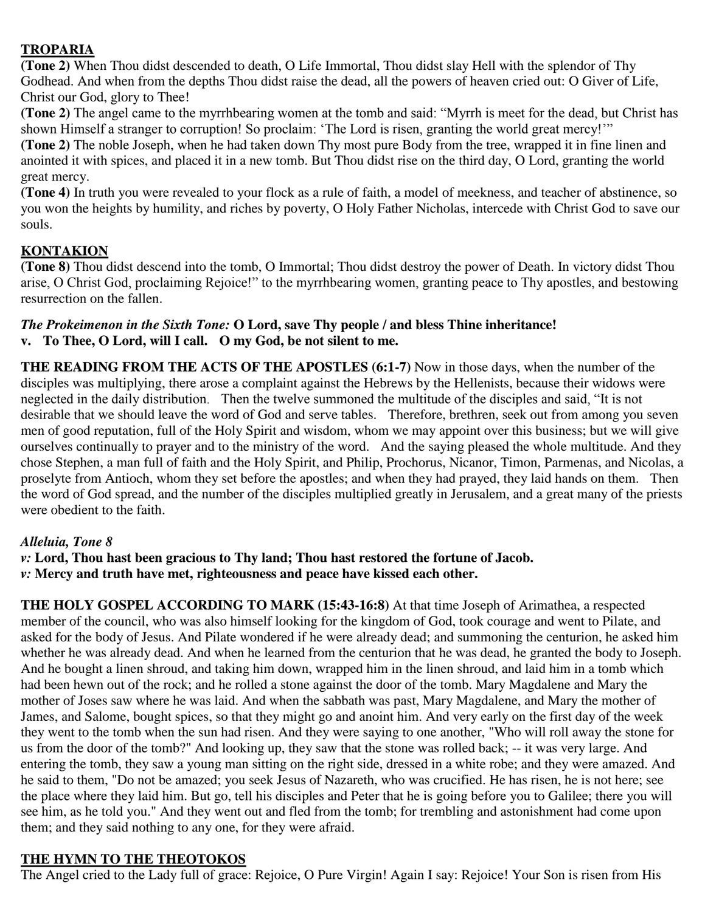## **TROPARIA**

**(Tone 2)** When Thou didst descended to death, O Life Immortal, Thou didst slay Hell with the splendor of Thy Godhead. And when from the depths Thou didst raise the dead, all the powers of heaven cried out: O Giver of Life, Christ our God, glory to Thee!

**(Tone 2)** The angel came to the myrrhbearing women at the tomb and said: "Myrrh is meet for the dead, but Christ has shown Himself a stranger to corruption! So proclaim: 'The Lord is risen, granting the world great mercy!'"

**(Tone 2)** The noble Joseph, when he had taken down Thy most pure Body from the tree, wrapped it in fine linen and anointed it with spices, and placed it in a new tomb. But Thou didst rise on the third day, O Lord, granting the world great mercy.

**(Tone 4)** In truth you were revealed to your flock as a rule of faith, a model of meekness, and teacher of abstinence, so you won the heights by humility, and riches by poverty, O Holy Father Nicholas, intercede with Christ God to save our souls.

# **KONTAKION**

**(Tone 8)** Thou didst descend into the tomb, O Immortal; Thou didst destroy the power of Death. In victory didst Thou arise, O Christ God, proclaiming Rejoice!" to the myrrhbearing women, granting peace to Thy apostles, and bestowing resurrection on the fallen.

### *The Prokeimenon in the Sixth Tone:* **O Lord, save Thy people / and bless Thine inheritance! v. To Thee, O Lord, will I call. O my God, be not silent to me.**

**THE READING FROM THE ACTS OF THE APOSTLES (6:1-7)** Now in those days, when the number of the disciples was multiplying, there arose a complaint against the Hebrews by the Hellenists, because their widows were neglected in the daily distribution. Then the twelve summoned the multitude of the disciples and said, "It is not desirable that we should leave the word of God and serve tables. Therefore, brethren, seek out from among you seven men of good reputation, full of the Holy Spirit and wisdom, whom we may appoint over this business; but we will give ourselves continually to prayer and to the ministry of the word. And the saying pleased the whole multitude. And they chose Stephen, a man full of faith and the Holy Spirit, and Philip, Prochorus, Nicanor, Timon, Parmenas, and Nicolas, a proselyte from Antioch, whom they set before the apostles; and when they had prayed, they laid hands on them. Then the word of God spread, and the number of the disciples multiplied greatly in Jerusalem, and a great many of the priests were obedient to the faith.

## *Alleluia, Tone 8*

*v:* **Lord, Thou hast been gracious to Thy land; Thou hast restored the fortune of Jacob.** *v:* **Mercy and truth have met, righteousness and peace have kissed each other.**

**THE HOLY GOSPEL ACCORDING TO MARK (15:43-16:8)** At that time Joseph of Arimathea, a respected member of the council, who was also himself looking for the kingdom of God, took courage and went to Pilate, and asked for the body of Jesus. And Pilate wondered if he were already dead; and summoning the centurion, he asked him whether he was already dead. And when he learned from the centurion that he was dead, he granted the body to Joseph. And he bought a linen shroud, and taking him down, wrapped him in the linen shroud, and laid him in a tomb which had been hewn out of the rock; and he rolled a stone against the door of the tomb. Mary Magdalene and Mary the mother of Joses saw where he was laid. And when the sabbath was past, Mary Magdalene, and Mary the mother of James, and Salome, bought spices, so that they might go and anoint him. And very early on the first day of the week they went to the tomb when the sun had risen. And they were saying to one another, "Who will roll away the stone for us from the door of the tomb?" And looking up, they saw that the stone was rolled back; -- it was very large. And entering the tomb, they saw a young man sitting on the right side, dressed in a white robe; and they were amazed. And he said to them, "Do not be amazed; you seek Jesus of Nazareth, who was crucified. He has risen, he is not here; see the place where they laid him. But go, tell his disciples and Peter that he is going before you to Galilee; there you will see him, as he told you." And they went out and fled from the tomb; for trembling and astonishment had come upon them; and they said nothing to any one, for they were afraid.

## **THE HYMN TO THE THEOTOKOS**

The Angel cried to the Lady full of grace: Rejoice, O Pure Virgin! Again I say: Rejoice! Your Son is risen from His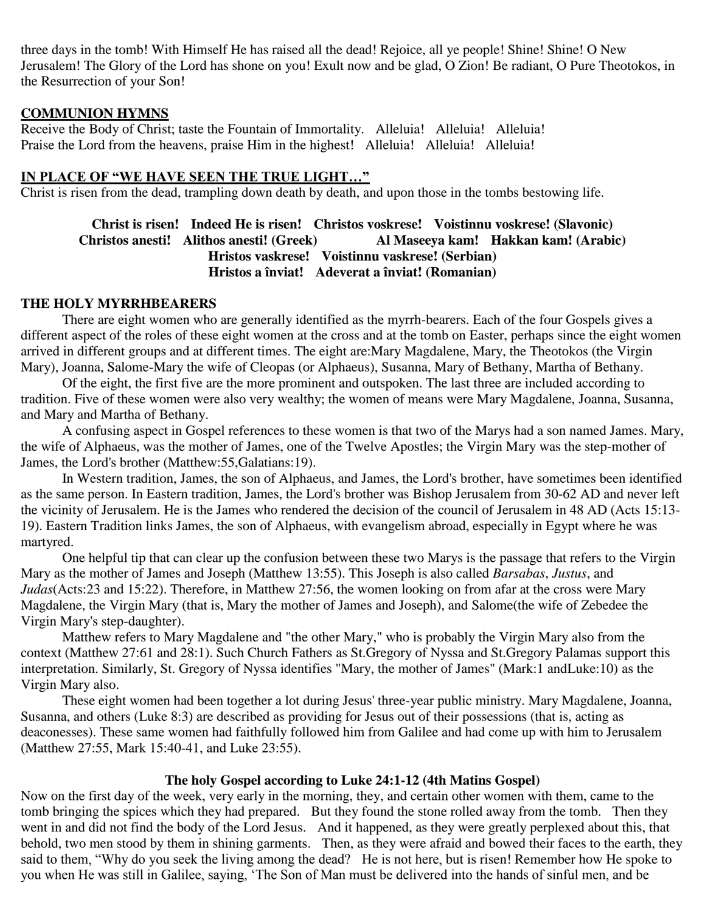three days in the tomb! With Himself He has raised all the dead! Rejoice, all ye people! Shine! Shine! O New Jerusalem! The Glory of the Lord has shone on you! Exult now and be glad, O Zion! Be radiant, O Pure Theotokos, in the Resurrection of your Son!

### **COMMUNION HYMNS**

Receive the Body of Christ; taste the Fountain of Immortality. Alleluia! Alleluia! Alleluia! Praise the Lord from the heavens, praise Him in the highest! Alleluia! Alleluia! Alleluia!

## **IN PLACE OF "WE HAVE SEEN THE TRUE LIGHT…"**

Christ is risen from the dead, trampling down death by death, and upon those in the tombs bestowing life.

## **Christ is risen! Indeed He is risen! Christos voskrese! Voistinnu voskrese! (Slavonic) Christos anesti! Alithos anesti! (Greek) Al Maseeya kam! Hakkan kam! (Arabic) Hristos vaskrese! Voistinnu vaskrese! (Serbian) Hristos a înviat! Adeverat a înviat! (Romanian)**

### **THE HOLY MYRRHBEARERS**

There are eight women who are generally identified as the myrrh-bearers. Each of the four Gospels gives a different aspect of the roles of these eight women at the cross and at the tomb on Easter, perhaps since the eight women arrived in different groups and at different times. The eight are:Mary Magdalene, Mary, the Theotokos (the Virgin Mary), Joanna, Salome-Mary the wife of Cleopas (or Alphaeus), Susanna, Mary of Bethany, Martha of Bethany.

Of the eight, the first five are the more prominent and outspoken. The last three are included according to tradition. Five of these women were also very wealthy; the women of means were Mary Magdalene, Joanna, Susanna, and Mary and Martha of Bethany.

A confusing aspect in Gospel references to these women is that two of the Marys had a son named James. Mary, the wife of Alphaeus, was the mother of James, one of the Twelve Apostles; the Virgin Mary was the step-mother of James, the Lord's brother (Matthew:55,Galatians:19).

In Western tradition, James, the son of Alphaeus, and James, the Lord's brother, have sometimes been identified as the same person. In Eastern tradition, James, the Lord's brother was Bishop Jerusalem from 30-62 AD and never left the vicinity of Jerusalem. He is the James who rendered the decision of the council of Jerusalem in 48 AD (Acts 15:13- 19). Eastern Tradition links James, the son of Alphaeus, with evangelism abroad, especially in Egypt where he was martyred.

One helpful tip that can clear up the confusion between these two Marys is the passage that refers to the Virgin Mary as the mother of James and Joseph (Matthew 13:55). This Joseph is also called *Barsabas*, *Justus*, and *Judas*(Acts:23 and 15:22). Therefore, in Matthew 27:56, the women looking on from afar at the cross were Mary Magdalene, the Virgin Mary (that is, Mary the mother of James and Joseph), and Salome(the wife of Zebedee the Virgin Mary's step-daughter).

Matthew refers to Mary Magdalene and "the other Mary," who is probably the Virgin Mary also from the context (Matthew 27:61 and 28:1). Such Church Fathers as St.Gregory of Nyssa and St.Gregory Palamas support this interpretation. Similarly, St. Gregory of Nyssa identifies "Mary, the mother of James" (Mark:1 andLuke:10) as the Virgin Mary also.

These eight women had been together a lot during Jesus' three-year public ministry. Mary Magdalene, Joanna, Susanna, and others (Luke 8:3) are described as providing for Jesus out of their possessions (that is, acting as deaconesses). These same women had faithfully followed him from Galilee and had come up with him to Jerusalem (Matthew 27:55, Mark 15:40-41, and Luke 23:55).

## **The holy Gospel according to Luke 24:1-12 (4th Matins Gospel)**

Now on the first day of the week, very early in the morning, they, and certain other women with them, came to the tomb bringing the spices which they had prepared. But they found the stone rolled away from the tomb. Then they went in and did not find the body of the Lord Jesus. And it happened, as they were greatly perplexed about this, that behold, two men stood by them in shining garments. Then, as they were afraid and bowed their faces to the earth, they said to them, "Why do you seek the living among the dead? He is not here, but is risen! Remember how He spoke to you when He was still in Galilee, saying, 'The Son of Man must be delivered into the hands of sinful men, and be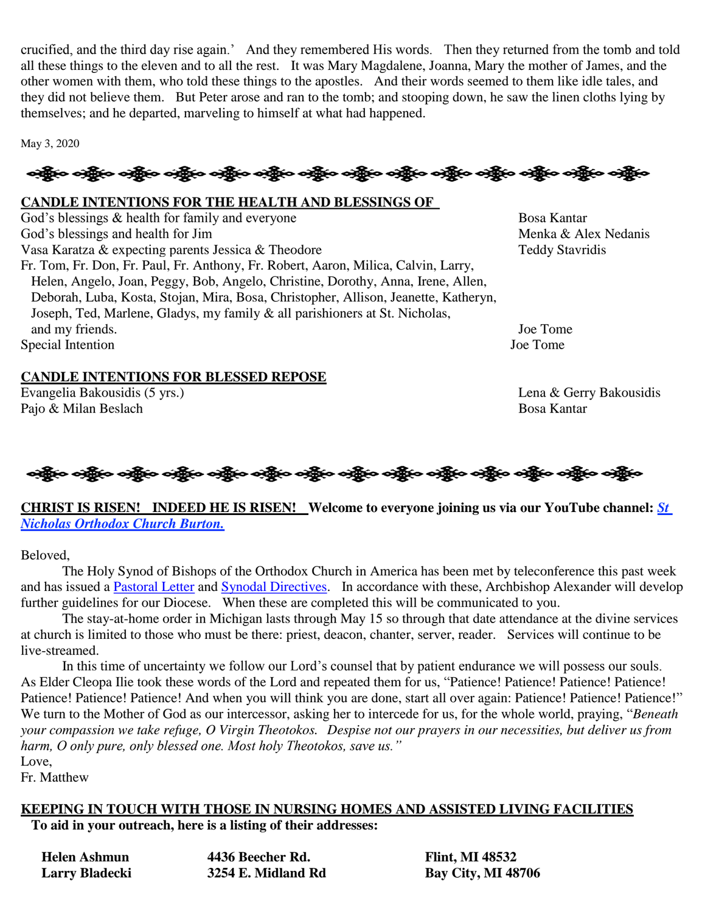crucified, and the third day rise again.' And they remembered His words. Then they returned from the tomb and told all these things to the eleven and to all the rest. It was Mary Magdalene, Joanna, Mary the mother of James, and the other women with them, who told these things to the apostles. And their words seemed to them like idle tales, and they did not believe them. But Peter arose and ran to the tomb; and stooping down, he saw the linen cloths lying by themselves; and he departed, marveling to himself at what had happened.

May 3, 2020

# န္ကြိုးေခါ့္ဆိုေခါ့္အိုေနရွိပ္ေခါ့္အိုေခါ့္အိုေခါ့္အိုေခါ့္အိုေခါ့္အိုေနရွိပ္ေခါ့္အိုေခါ့္အိုေခါ့္အိုေခါ့္အိုေ

### **CANDLE INTENTIONS FOR THE HEALTH AND BLESSINGS OF**

God's blessings & health for family and everyone Bosa Kantar God's blessings and health for Jim Menka & Alex Nedanis Vasa Karatza & expecting parents Jessica & Theodore Teddy Stavridis Fr. Tom, Fr. Don, Fr. Paul, Fr. Anthony, Fr. Robert, Aaron, Milica, Calvin, Larry, Helen, Angelo, Joan, Peggy, Bob, Angelo, Christine, Dorothy, Anna, Irene, Allen, Deborah, Luba, Kosta, Stojan, Mira, Bosa, Christopher, Allison, Jeanette, Katheryn, Joseph, Ted, Marlene, Gladys, my family & all parishioners at St. Nicholas, and my friends. Joe Tome Special Intention Joe Tome

### **CANDLE INTENTIONS FOR BLESSED REPOSE**

Evangelia Bakousidis (5 yrs.) Lena & Gerry Bakousidis Pajo & Milan Beslach Bosa Kantar Bosa Kantar Bosa Kantar Bosa Kantar Bosa Kantar Bosa Kantar Bosa Kantar Bosa



### **CHRIST IS RISEN! INDEED HE IS RISEN! Welcome to everyone joining us via our YouTube channel:** *[St](https://www.youtube.com/channel/UC59tV-Re443z-GCoETAUvfA)  [Nicholas Orthodox Church Burton.](https://www.youtube.com/channel/UC59tV-Re443z-GCoETAUvfA)*

Beloved,

The Holy Synod of Bishops of the Orthodox Church in America has been met by teleconference this past week and has issued a [Pastoral Letter](https://www.oca.org/holy-synod/statements/holy-synod/pastoral-letter-concerning-the-coronavirus) and [Synodal Directives.](https://www.oca.org/cdn/PDFs/synod/2020-0501-covid-synod-directives.pdf) In accordance with these, Archbishop Alexander will develop further guidelines for our Diocese. When these are completed this will be communicated to you.

The stay-at-home order in Michigan lasts through May 15 so through that date attendance at the divine services at church is limited to those who must be there: priest, deacon, chanter, server, reader. Services will continue to be live-streamed.

In this time of uncertainty we follow our Lord's counsel that by patient endurance we will possess our souls. As Elder Cleopa Ilie took these words of the Lord and repeated them for us, "Patience! Patience! Patience! Patience! Patience! Patience! Patience! And when you will think you are done, start all over again: Patience! Patience! Patience!" We turn to the Mother of God as our intercessor, asking her to intercede for us, for the whole world, praying, "*Beneath your compassion we take refuge, O Virgin Theotokos. Despise not our prayers in our necessities, but deliver us from harm, O only pure, only blessed one. Most holy Theotokos, save us."*

> **Flint, MI 48532 Larry Bladecki 3254 E. Midland Rd Bay City, MI 48706**

Love,

Fr. Matthew

### **KEEPING IN TOUCH WITH THOSE IN NURSING HOMES AND ASSISTED LIVING FACILITIES**

**To aid in your outreach, here is a listing of their addresses:**

| Helen Ashmun   | 4436 Beecher Rd.   |
|----------------|--------------------|
| Larry Bladecki | 3254 E. Midland Rd |